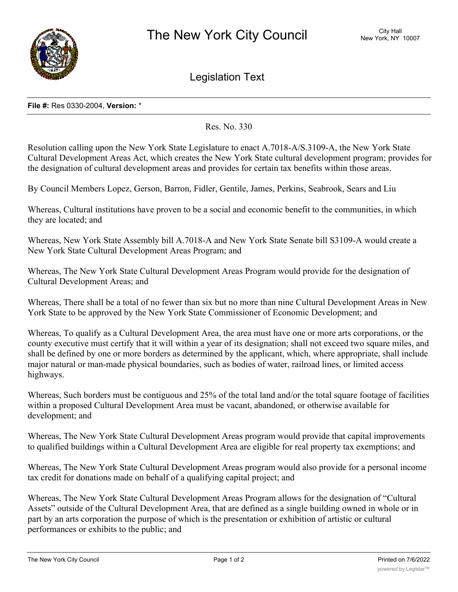

Legislation Text

## **File #:** Res 0330-2004, **Version:** \*

Res. No. 330

Resolution calling upon the New York State Legislature to enact A.7018-A/S.3109-A, the New York State Cultural Development Areas Act, which creates the New York State cultural development program; provides for the designation of cultural development areas and provides for certain tax benefits within those areas.

By Council Members Lopez, Gerson, Barron, Fidler, Gentile, James, Perkins, Seabrook, Sears and Liu

Whereas, Cultural institutions have proven to be a social and economic benefit to the communities, in which they are located; and

Whereas, New York State Assembly bill A.7018-A and New York State Senate bill S3109-A would create a New York State Cultural Development Areas Program; and

Whereas, The New York State Cultural Development Areas Program would provide for the designation of Cultural Development Areas; and

Whereas, There shall be a total of no fewer than six but no more than nine Cultural Development Areas in New York State to be approved by the New York State Commissioner of Economic Development; and

Whereas, To qualify as a Cultural Development Area, the area must have one or more arts corporations, or the county executive must certify that it will within a year of its designation; shall not exceed two square miles, and shall be defined by one or more borders as determined by the applicant, which, where appropriate, shall include major natural or man-made physical boundaries, such as bodies of water, railroad lines, or limited access highways.

Whereas, Such borders must be contiguous and 25% of the total land and/or the total square footage of facilities within a proposed Cultural Development Area must be vacant, abandoned, or otherwise available for development; and

Whereas, The New York State Cultural Development Areas program would provide that capital improvements to qualified buildings within a Cultural Development Area are eligible for real property tax exemptions; and

Whereas, The New York State Cultural Development Areas program would also provide for a personal income tax credit for donations made on behalf of a qualifying capital project; and

Whereas, The New York State Cultural Development Areas Program allows for the designation of "Cultural Assets" outside of the Cultural Development Area, that are defined as a single building owned in whole or in part by an arts corporation the purpose of which is the presentation or exhibition of artistic or cultural performances or exhibits to the public; and